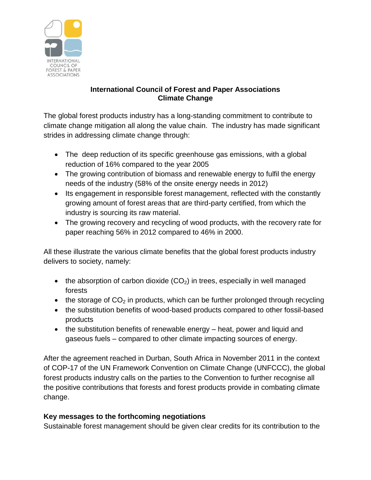

## **International Council of Forest and Paper Associations Climate Change**

The global forest products industry has a long-standing commitment to contribute to climate change mitigation all along the value chain. The industry has made significant strides in addressing climate change through:

- The deep reduction of its specific greenhouse gas emissions, with a global reduction of 16% compared to the year 2005
- The growing contribution of biomass and renewable energy to fulfil the energy needs of the industry (58% of the onsite energy needs in 2012)
- Its engagement in responsible forest management, reflected with the constantly growing amount of forest areas that are third-party certified, from which the industry is sourcing its raw material.
- The growing recovery and recycling of wood products, with the recovery rate for paper reaching 56% in 2012 compared to 46% in 2000.

All these illustrate the various climate benefits that the global forest products industry delivers to society, namely:

- the absorption of carbon dioxide  $(CO<sub>2</sub>)$  in trees, especially in well managed forests
- the storage of  $CO<sub>2</sub>$  in products, which can be further prolonged through recycling
- the substitution benefits of wood-based products compared to other fossil-based products
- the substitution benefits of renewable energy heat, power and liquid and gaseous fuels – compared to other climate impacting sources of energy.

After the agreement reached in Durban, South Africa in November 2011 in the context of COP-17 of the UN Framework Convention on Climate Change (UNFCCC), the global forest products industry calls on the parties to the Convention to further recognise all the positive contributions that forests and forest products provide in combating climate change.

## **Key messages to the forthcoming negotiations**

Sustainable forest management should be given clear credits for its contribution to the